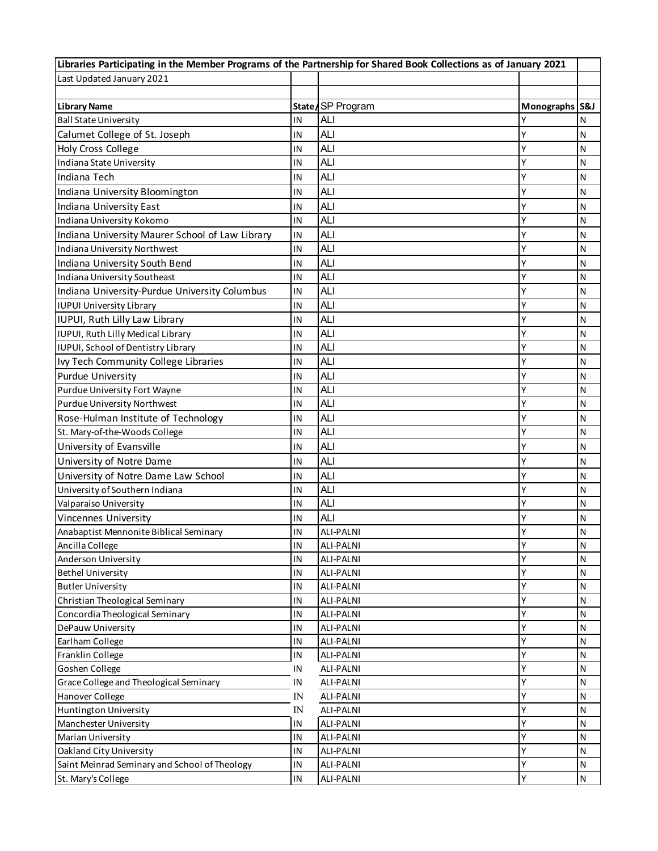| Libraries Participating in the Member Programs of the Partnership for Shared Book Collections as of January 2021 |            |                  |                |              |
|------------------------------------------------------------------------------------------------------------------|------------|------------------|----------------|--------------|
| Last Updated January 2021                                                                                        |            |                  |                |              |
|                                                                                                                  |            |                  |                |              |
| <b>Library Name</b>                                                                                              |            | State/SP Program | Monographs S&J |              |
| <b>Ball State University</b>                                                                                     | IN         | <b>ALI</b>       | Y              | N            |
| Calumet College of St. Joseph                                                                                    | IN         | <b>ALI</b>       | Y              | N            |
| <b>Holy Cross College</b>                                                                                        | IN         | <b>ALI</b>       | Υ              | N            |
| Indiana State University                                                                                         | IN         | <b>ALI</b>       | Y              | N            |
| Indiana Tech                                                                                                     | IN         | <b>ALI</b>       | Y              | N            |
| Indiana University Bloomington                                                                                   | IN         | <b>ALI</b>       | Y              | N            |
| Indiana University East                                                                                          | IN         | <b>ALI</b>       | Υ              | N            |
| Indiana University Kokomo                                                                                        | IN         | <b>ALI</b>       | Y              | N            |
| Indiana University Maurer School of Law Library                                                                  | IN         | <b>ALI</b>       | Y              | N            |
| Indiana University Northwest                                                                                     | IN         | <b>ALI</b>       | Y              | N            |
| Indiana University South Bend                                                                                    | IN         | <b>ALI</b>       | Y              | N            |
| Indiana University Southeast                                                                                     | IN         | <b>ALI</b>       | Υ              | N            |
| Indiana University-Purdue University Columbus                                                                    | IN         | <b>ALI</b>       | Υ              | N            |
| <b>IUPUI University Library</b>                                                                                  | IN         | <b>ALI</b>       | Y              | N            |
| IUPUI, Ruth Lilly Law Library                                                                                    | IN         | <b>ALI</b>       | Y              | N            |
| IUPUI, Ruth Lilly Medical Library                                                                                | IN         | <b>ALI</b>       | Y              | N            |
| IUPUI, School of Dentistry Library                                                                               | IN         | <b>ALI</b>       | Y              | N            |
| Ivy Tech Community College Libraries                                                                             | IN         | <b>ALI</b>       | Υ              | N            |
| <b>Purdue University</b>                                                                                         | IN         | <b>ALI</b>       | Y              | N            |
| Purdue University Fort Wayne                                                                                     | IN         | <b>ALI</b>       | Y              | N            |
| Purdue University Northwest                                                                                      | IN         | <b>ALI</b>       | Y              | N            |
| Rose-Hulman Institute of Technology                                                                              | IN         | <b>ALI</b>       | Y              | $\mathsf{N}$ |
| St. Mary-of-the-Woods College                                                                                    | IN         | <b>ALI</b>       | Υ              | N            |
| University of Evansville                                                                                         | IN         | <b>ALI</b>       | Y              | $\mathsf{N}$ |
| University of Notre Dame                                                                                         | IN         | <b>ALI</b>       | Y              | N            |
| University of Notre Dame Law School                                                                              | IN         | <b>ALI</b>       | Y              | $\mathsf{N}$ |
| University of Southern Indiana                                                                                   | IN         | <b>ALI</b>       | Υ              | N            |
| Valparaiso University                                                                                            | IN         | <b>ALI</b>       | Ý              | N            |
| Vincennes University                                                                                             | ΙN         | <b>ALI</b>       | Υ              | N            |
| Anabaptist Mennonite Biblical Seminary                                                                           | IN         | <b>ALI-PALNI</b> | γ              | N            |
| Ancilla College                                                                                                  | IN         | <b>ALI-PALNI</b> | Υ              | N            |
| Anderson University                                                                                              | IN         | ALI-PALNI        | Y              | N            |
| <b>Bethel University</b>                                                                                         | IN         | ALI-PALNI        | Y              | N            |
| <b>Butler University</b>                                                                                         | IN         | ALI-PALNI        | Υ              | N            |
| Christian Theological Seminary                                                                                   | IN         | <b>ALI-PALNI</b> | Y              | N            |
| Concordia Theological Seminary                                                                                   | IN         | <b>ALI-PALNI</b> | Υ              | $\mathsf{N}$ |
| DePauw University                                                                                                | ΙN         | ALI-PALNI        | Y              | N            |
| Earlham College                                                                                                  | IN         | ALI-PALNI        | Y              | $\mathsf{N}$ |
| Franklin College                                                                                                 | IN         | ALI-PALNI        | Υ              | N            |
| Goshen College                                                                                                   | ΙN         | ALI-PALNI        | Υ              | N            |
| Grace College and Theological Seminary                                                                           | ΙN         | ALI-PALNI        | Υ              | N            |
| Hanover College                                                                                                  | IN         | ALI-PALNI        | Y              | N            |
| Huntington University                                                                                            | ${\rm IN}$ | ALI-PALNI        | Y              | N            |
| Manchester University                                                                                            | IN         | ALI-PALNI        | Υ              | N            |
| Marian University                                                                                                | IN         | ALI-PALNI        | Υ              | N            |
| Oakland City University                                                                                          | IN         | ALI-PALNI        | Υ              | N            |
| Saint Meinrad Seminary and School of Theology                                                                    | IN         | ALI-PALNI        | Y              | $\mathsf{N}$ |
| St. Mary's College                                                                                               | IN         | ALI-PALNI        | Y              | $\mathsf{N}$ |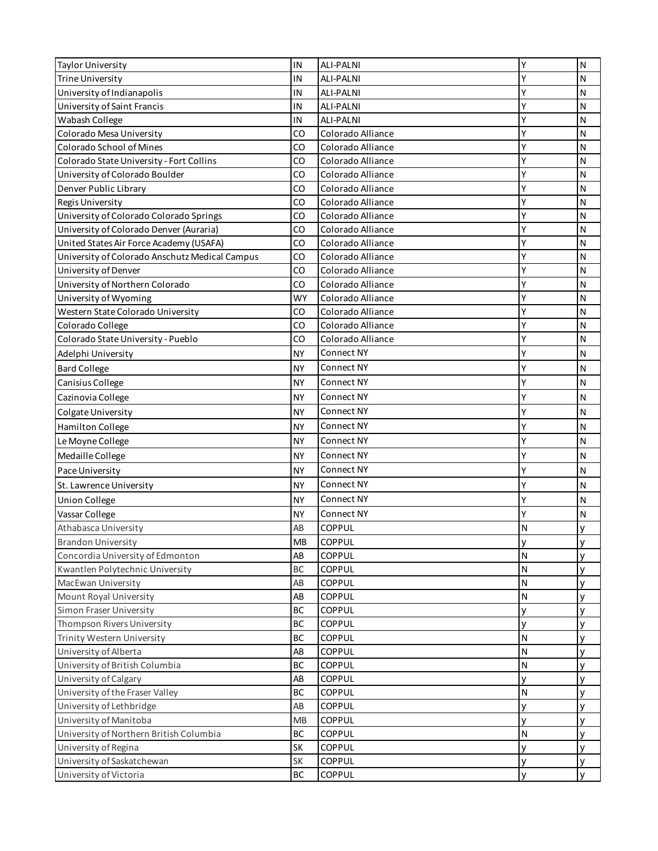| <b>Taylor University</b>                       | IN        | <b>ALI-PALNI</b>  | Υ      | $\mathsf{N}$ |
|------------------------------------------------|-----------|-------------------|--------|--------------|
| <b>Trine University</b>                        | IN        | ALI-PALNI         | Y      | N            |
| University of Indianapolis                     | IN        | <b>ALI-PALNI</b>  | Y      | N            |
| University of Saint Francis                    | IN        | <b>ALI-PALNI</b>  | Υ      | N            |
| Wabash College                                 | IN        | <b>ALI-PALNI</b>  | Y      | N            |
| Colorado Mesa University                       | CO        | Colorado Alliance | Υ      | $\mathsf{N}$ |
| Colorado School of Mines                       | CO        | Colorado Alliance | Y      | N            |
| Colorado State University - Fort Collins       | CO        | Colorado Alliance | Y      | $\mathsf{N}$ |
| University of Colorado Boulder                 | CO        | Colorado Alliance | Y      | Ν            |
| Denver Public Library                          | CO        | Colorado Alliance | Υ      | $\mathsf{N}$ |
| Regis University                               | CO        | Colorado Alliance | Y      | $\mathsf{N}$ |
| University of Colorado Colorado Springs        | CO        | Colorado Alliance | Y      | Ν            |
| University of Colorado Denver (Auraria)        | CO        | Colorado Alliance | Y      | Ν            |
| United States Air Force Academy (USAFA)        | CO        | Colorado Alliance | Y      | $\mathsf{N}$ |
| University of Colorado Anschutz Medical Campus | CO        | Colorado Alliance | Y      | N            |
| University of Denver                           | CO        | Colorado Alliance | Y      | $\mathsf{N}$ |
| University of Northern Colorado                | CO        | Colorado Alliance | Y      | Ν            |
| University of Wyoming                          | WY        | Colorado Alliance | Y      | $\mathsf{N}$ |
| Western State Colorado University              | CO        | Colorado Alliance | Y      | N            |
| Colorado College                               | CO        | Colorado Alliance | Y      | $\mathsf{N}$ |
| Colorado State University - Pueblo             | CO        | Colorado Alliance | Y      | Ν            |
| Adelphi University                             | <b>NY</b> | Connect NY        | Y      | $\mathsf{N}$ |
| <b>Bard College</b>                            | <b>NY</b> | Connect NY        | Y      | $\mathsf{N}$ |
| Canisius College                               | <b>NY</b> | Connect NY        | Y      | N            |
| Cazinovia College                              | <b>NY</b> | Connect NY        | Υ      | $\mathsf{N}$ |
| Colgate University                             | <b>NY</b> | Connect NY        | Υ      | $\mathsf{N}$ |
| <b>Hamilton College</b>                        | <b>NY</b> | Connect NY        | Υ      | ${\sf N}$    |
| Le Moyne College                               | <b>NY</b> | Connect NY        | Y      | $\mathsf{N}$ |
| Medaille College                               | <b>NY</b> | Connect NY        | Υ      | N            |
| Pace University                                | <b>NY</b> | Connect NY        | Y      | $\mathsf{N}$ |
| St. Lawrence University                        | <b>NY</b> | Connect NY        | Y      | N            |
| <b>Union College</b>                           | <b>NY</b> | Connect NY        | Y      | N            |
| Vassar College                                 | <b>NY</b> | Connect NY        | Y      | $\mathsf{N}$ |
| Athabasca University                           | AB        | COPPUL            | N      | У            |
| <b>Brandon University</b>                      | MB        | COPPUL            |        |              |
| Concordia University of Edmonton               | AB        | COPPUL            | у<br>N | у<br>у       |
| Kwantlen Polytechnic University                | BC        | COPPUL            | N      | у            |
| MacEwan University                             | AB        | COPPUL            | Ν      | У            |
| Mount Royal University                         | AB        | COPPUL            | Ν      | У            |
| Simon Fraser University                        | <b>BC</b> | COPPUL            | У      | у            |
| Thompson Rivers University                     | <b>BC</b> | COPPUL            | У      | У            |
| Trinity Western University                     | <b>BC</b> | COPPUL            | N      | у            |
| University of Alberta                          | AB        | COPPUL            | N      | У            |
| University of British Columbia                 | <b>BC</b> | COPPUL            | Ν      | у            |
| University of Calgary                          | AB        | COPPUL            | у      | у            |
| University of the Fraser Valley                | <b>BC</b> | COPPUL            | Ν      | У            |
| University of Lethbridge                       | AB        | COPPUL            | у      | У            |
| University of Manitoba                         | <b>MB</b> | COPPUL            | У      | у            |
| University of Northern British Columbia        | <b>BC</b> | COPPUL            | N      | y            |
| University of Regina                           | SK        | COPPUL            | У      | У            |
| University of Saskatchewan                     | <b>SK</b> | COPPUL            | у      | У            |
| University of Victoria                         | <b>BC</b> | COPPUL            | У      | y            |
|                                                |           |                   |        |              |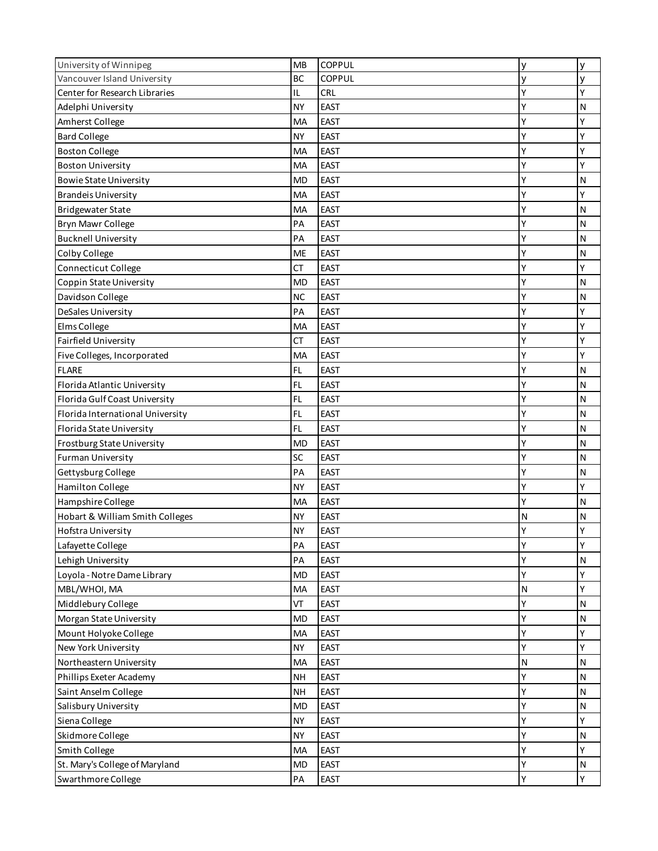| University of Winnipeg           | <b>MB</b> | COPPUL      | У | y            |
|----------------------------------|-----------|-------------|---|--------------|
| Vancouver Island University      | <b>BC</b> | COPPUL      | ٧ | y            |
| Center for Research Libraries    | IL        | <b>CRL</b>  | Y | Υ            |
| Adelphi University               | <b>NY</b> | <b>EAST</b> |   | N            |
| Amherst College                  | MA        | <b>EAST</b> | Υ | Y            |
| <b>Bard College</b>              | <b>NY</b> | <b>EAST</b> | Ý | Y            |
| <b>Boston College</b>            | MA        | <b>EAST</b> | Y | Υ            |
| <b>Boston University</b>         | МA        | <b>EAST</b> | Ý | Y            |
| <b>Bowie State University</b>    | <b>MD</b> | <b>EAST</b> | Υ | N            |
| <b>Brandeis University</b>       | МA        | <b>EAST</b> | Y | Υ            |
| <b>Bridgewater State</b>         | MA        | <b>EAST</b> | Υ | N            |
| Bryn Mawr College                | PA        | <b>EAST</b> | Υ | $\mathsf{N}$ |
| <b>Bucknell University</b>       | PA        | <b>EAST</b> | Υ | $\mathsf{N}$ |
| Colby College                    | <b>ME</b> | <b>EAST</b> | Y | $\mathsf{N}$ |
| Connecticut College              | CT        | <b>EAST</b> | Υ | Υ            |
| Coppin State University          | <b>MD</b> | <b>EAST</b> | Υ | N            |
| Davidson College                 | <b>NC</b> | <b>EAST</b> | Υ | N            |
| DeSales University               | PA        | <b>EAST</b> | Υ | Y            |
| Elms College                     | MA        | <b>EAST</b> |   | Y            |
| Fairfield University             | CT        | <b>EAST</b> | Y | Υ            |
| Five Colleges, Incorporated      | MA        | <b>EAST</b> | Ý | Y            |
| <b>FLARE</b>                     | FL        | <b>EAST</b> | Y | N            |
| Florida Atlantic University      | FL        | <b>EAST</b> | Y | N            |
| Florida Gulf Coast University    | FL        | <b>EAST</b> | Υ | N            |
| Florida International University | FL        | <b>EAST</b> | Y | $\mathsf{N}$ |
| Florida State University         | FL        | <b>EAST</b> | Υ | N            |
| Frostburg State University       | <b>MD</b> | <b>EAST</b> | Υ | $\mathsf{N}$ |
| <b>Furman University</b>         | SC        | <b>EAST</b> | Υ | $\mathsf{N}$ |
| Gettysburg College               | PA        | <b>EAST</b> | Y | $\mathsf{N}$ |
| <b>Hamilton College</b>          | <b>NY</b> | <b>EAST</b> | Υ | Υ            |
| Hampshire College                | MA        | <b>EAST</b> | Υ | N            |
| Hobart & William Smith Colleges  | <b>NY</b> | <b>EAST</b> | N | N            |
| Hofstra University               | <b>NY</b> | <b>EAST</b> | Y | Y            |
| Lafayette College                | PA        | <b>EAST</b> | Υ | Υ            |
| Lehigh University                | PA        | <b>EAST</b> | Υ | ${\sf N}$    |
| Loyola - Notre Dame Library      | <b>MD</b> | <b>EAST</b> | Υ | Υ            |
| MBL/WHOI, MA                     | MA        | <b>EAST</b> | N | Υ            |
| Middlebury College               | VT        | EAST        | Ý | $\mathsf{N}$ |
| Morgan State University          | <b>MD</b> | <b>EAST</b> | Y | ${\sf N}$    |
| Mount Holyoke College            | MA        | <b>EAST</b> | Υ | Υ            |
| New York University              | <b>NY</b> | <b>EAST</b> | Y | Υ            |
| Northeastern University          | MA        | <b>EAST</b> | N | $\mathsf{N}$ |
| Phillips Exeter Academy          | <b>NH</b> | <b>EAST</b> | Υ | $\mathsf{N}$ |
| Saint Anselm College             | <b>NH</b> | <b>EAST</b> | Υ | $\mathsf{N}$ |
| Salisbury University             | <b>MD</b> | <b>EAST</b> | Y | $\mathsf{N}$ |
| Siena College                    | <b>NY</b> | <b>EAST</b> | Y | Υ            |
| Skidmore College                 | <b>NY</b> | <b>EAST</b> | Y | ${\sf N}$    |
|                                  | MA        | <b>EAST</b> | Υ | Υ            |
| Smith College                    |           | <b>EAST</b> | Y |              |
| St. Mary's College of Maryland   | <b>MD</b> |             |   | ${\sf N}$    |
| Swarthmore College               | PA        | EAST        | Y | Υ            |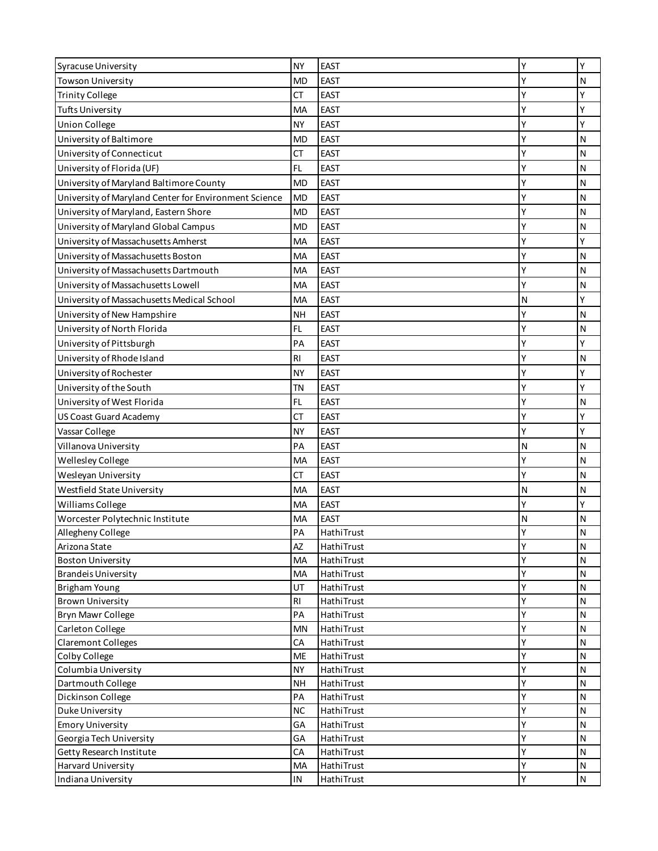| <b>Syracuse University</b>                            | <b>NY</b> | <b>EAST</b>              | Y      | Υ                            |
|-------------------------------------------------------|-----------|--------------------------|--------|------------------------------|
| <b>Towson University</b>                              | <b>MD</b> | <b>EAST</b>              | Υ      | N                            |
| <b>Trinity College</b>                                | СT        | <b>EAST</b>              | Υ      | Υ                            |
| <b>Tufts University</b>                               | MA        | <b>EAST</b>              | Υ      | Υ                            |
| <b>Union College</b>                                  | <b>NY</b> | <b>EAST</b>              | Υ      | Υ                            |
| University of Baltimore                               | <b>MD</b> | <b>EAST</b>              | Υ      | N                            |
| University of Connecticut                             | СT        | <b>EAST</b>              | Υ      | $\mathsf{N}$                 |
| University of Florida (UF)                            | FL        | <b>EAST</b>              | Υ      | N                            |
| University of Maryland Baltimore County               | <b>MD</b> | <b>EAST</b>              | Y      | $\mathsf{N}$                 |
| University of Maryland Center for Environment Science | <b>MD</b> | <b>EAST</b>              | Y      | N                            |
| University of Maryland, Eastern Shore                 | MD        | <b>EAST</b>              | Y      | N                            |
| University of Maryland Global Campus                  | MD        | <b>EAST</b>              | Υ      | $\mathsf{N}$                 |
| University of Massachusetts Amherst                   | MA        | <b>EAST</b>              | Y      | Υ                            |
| University of Massachusetts Boston                    | MA        | <b>EAST</b>              | Υ      | N                            |
| University of Massachusetts Dartmouth                 | МA        | <b>EAST</b>              | Υ      | N                            |
| University of Massachusetts Lowell                    | МA        | <b>EAST</b>              | Y      | N                            |
| University of Massachusetts Medical School            | MA        | <b>EAST</b>              | N      | Υ                            |
| University of New Hampshire                           | NΗ        | <b>EAST</b>              | Υ      | N                            |
| University of North Florida                           | FL        | <b>EAST</b>              | Υ      | $\mathsf{N}$                 |
| University of Pittsburgh                              | PA        | <b>EAST</b>              | Υ      | Υ                            |
| University of Rhode Island                            | <b>RI</b> | <b>EAST</b>              | Υ      | $\mathsf{N}$                 |
|                                                       |           |                          | Υ      | Υ                            |
| University of Rochester                               | NΥ        | <b>EAST</b>              |        | Υ                            |
| University of the South                               | ΤN        | <b>EAST</b>              | Y      |                              |
| University of West Florida                            | FL        | <b>EAST</b>              | Y      | $\mathsf{N}$                 |
| <b>US Coast Guard Academy</b>                         | СT        | <b>EAST</b>              | Υ      | Υ                            |
| Vassar College                                        | NY        | <b>EAST</b>              | Y      | Υ                            |
| Villanova University                                  | PA        | <b>EAST</b>              | N      | $\mathsf{N}$                 |
| Wellesley College                                     | MA        | <b>EAST</b>              | Y      | N                            |
| Wesleyan University                                   | СT        | <b>EAST</b>              | Y      | N                            |
| Westfield State University                            | МA        | <b>EAST</b>              | N      | N                            |
| Williams College                                      | МA        | <b>EAST</b>              | Y      | Υ                            |
| Worcester Polytechnic Institute                       | MA        | <b>EAST</b>              | N      | $\mathsf{N}$                 |
| Allegheny College                                     | PA        | HathiTrust               | Y      | $\mathsf{N}$                 |
| Arizona State                                         | AZ        | HathiTrust               | Υ      | $\mathsf{N}$                 |
| <b>Boston University</b>                              | МA        | HathiTrust               | Υ      | N                            |
| <b>Brandeis University</b>                            | MA        | HathiTrust               | Υ      | ${\sf N}$                    |
| <b>Brigham Young</b>                                  | UT        | HathiTrust               | Υ      | $\mathsf{N}$                 |
| <b>Brown University</b><br><b>Bryn Mawr College</b>   | RI<br>PA  | HathiTrust<br>HathiTrust | Υ<br>Υ | $\mathsf{N}$<br>$\mathsf{N}$ |
| Carleton College                                      | MN        | HathiTrust               | Υ      | N                            |
| <b>Claremont Colleges</b>                             | СA        | HathiTrust               | Y      | $\mathsf{N}$                 |
| Colby College                                         | <b>ME</b> | HathiTrust               | Υ      | $\mathsf{N}$                 |
| Columbia University                                   | <b>NY</b> | HathiTrust               | Υ      | N                            |
| Dartmouth College                                     | <b>NH</b> | HathiTrust               | Υ      | ${\sf N}$                    |
| Dickinson College                                     | PA        | HathiTrust               | Y      | $\mathsf{N}$                 |
| Duke University                                       | <b>NC</b> | HathiTrust               | Υ      | $\mathsf{N}$                 |
| <b>Emory University</b>                               | GA        | HathiTrust               | Y      | N                            |
| Georgia Tech University                               | GA        | HathiTrust               | Υ      | N                            |
| Getty Research Institute                              | CA        | HathiTrust               | Y      | $\mathsf{N}$                 |
| Harvard University                                    | MA        | HathiTrust               | Y      | $\mathsf{N}$                 |
| Indiana University                                    | IN        | HathiTrust               | Υ      | ${\sf N}$                    |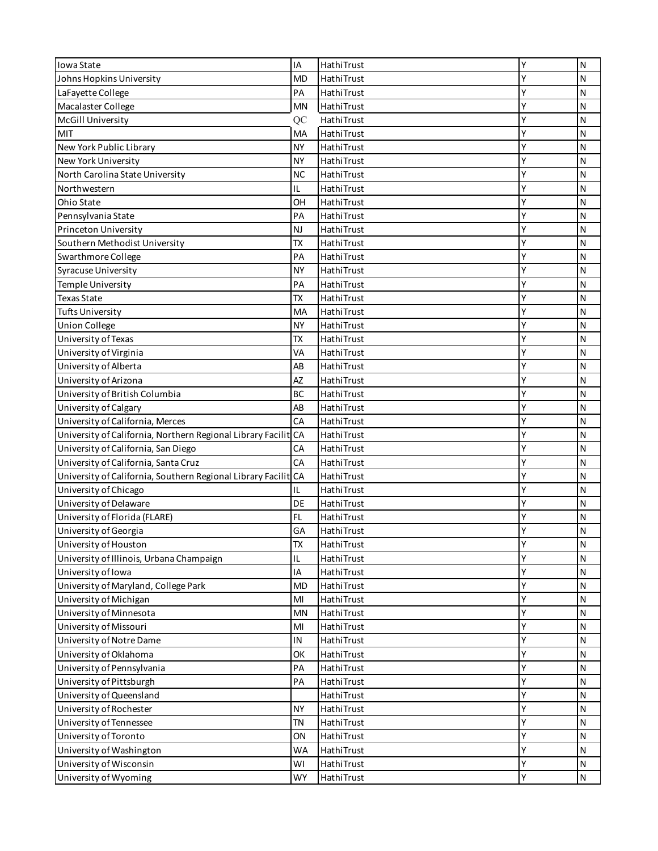| Iowa State                                                     | IA        | HathiTrust               | Y | N                         |
|----------------------------------------------------------------|-----------|--------------------------|---|---------------------------|
| Johns Hopkins University                                       | <b>MD</b> | HathiTrust               | Υ | N                         |
| LaFayette College                                              | PA        | HathiTrust               | Y | N                         |
| Macalaster College                                             | MN        | HathiTrust               | Y | N                         |
| <b>McGill University</b>                                       | QC        | HathiTrust               | Υ | N                         |
| MIT                                                            | MA        | HathiTrust               | γ | N                         |
| New York Public Library                                        | <b>NY</b> | HathiTrust               | Y | N                         |
| New York University                                            | <b>NY</b> | HathiTrust               | Y | N                         |
| North Carolina State University                                | <b>NC</b> | HathiTrust               | Y | $\mathsf{N}$              |
| Northwestern                                                   | IL        | HathiTrust               | Υ | $\mathsf{N}$              |
| Ohio State                                                     | OH        | HathiTrust               | Y | N                         |
| Pennsylvania State                                             | PA        | HathiTrust               | Y | ${\sf N}$                 |
| Princeton University                                           | <b>NJ</b> | HathiTrust               | Y | $\mathsf{N}$              |
| Southern Methodist University                                  | <b>TX</b> | HathiTrust               | Y | $\mathsf{N}$              |
| Swarthmore College                                             | PA        | HathiTrust               | Υ | N                         |
| Syracuse University                                            | <b>NY</b> | HathiTrust               | Y | N                         |
| Temple University                                              | PA        | HathiTrust               | Y | $\mathsf{N}$              |
| <b>Texas State</b>                                             | <b>TX</b> | HathiTrust               | Y | N                         |
| <b>Tufts University</b>                                        | MA        | HathiTrust               | Y | N                         |
| <b>Union College</b>                                           | <b>NY</b> | HathiTrust               | Υ | N                         |
| University of Texas                                            | <b>TX</b> | HathiTrust               | Y | $\mathsf{N}$              |
| University of Virginia                                         | VA        | HathiTrust               | Υ | N                         |
| University of Alberta                                          | AB        | HathiTrust               | Υ | N                         |
| University of Arizona                                          | AZ        | HathiTrust               | Y | N                         |
| University of British Columbia                                 | BC        | HathiTrust               | Y | $\mathsf{N}$              |
|                                                                | AB        |                          | Y | $\mathsf{N}$              |
| University of Calgary                                          | CA        | HathiTrust               | Y |                           |
| University of California, Merces                               |           | HathiTrust               | Y | N                         |
| University of California, Northern Regional Library Facilit CA | CA        | HathiTrust<br>HathiTrust | Y | ${\sf N}$<br>$\mathsf{N}$ |
| University of California, San Diego                            |           |                          | Υ |                           |
| University of California, Santa Cruz                           | CA        | HathiTrust               | Y | N                         |
| University of California, Southern Regional Library Facilit    | <b>CA</b> | HathiTrust               | Y | N                         |
| University of Chicago                                          | IL        | HathiTrust               |   | N                         |
| University of Delaware                                         | DE        | HathiTrust               | Y | N                         |
| University of Florida (FLARE)                                  | FL.       | HathiTrust               | Y | N                         |
| University of Georgia                                          | GA        | HathiTrust               | Υ | N                         |
| University of Houston                                          | <b>TX</b> | HathiTrust               | Υ | N                         |
| University of Illinois, Urbana Champaign                       | IL        | HathiTrust               | Υ | $\mathsf{N}$              |
| University of Iowa                                             | IA        | HathiTrust               | Υ | $\mathsf{N}$              |
| University of Maryland, College Park                           | MD        | HathiTrust               | Υ | N                         |
| University of Michigan                                         | MI        | HathiTrust               | Υ | ${\sf N}$                 |
| University of Minnesota                                        | <b>MN</b> | HathiTrust               | Y | $\mathsf{N}$              |
| University of Missouri                                         | MI        | HathiTrust               | Y | $\mathsf{N}$              |
| University of Notre Dame                                       | IN        | HathiTrust               | Y | $\mathsf{N}$              |
| University of Oklahoma                                         | OK        | HathiTrust               | Y | $\mathsf{N}$              |
| University of Pennsylvania                                     | PA        | HathiTrust               | Y | N                         |
| University of Pittsburgh                                       | PA        | HathiTrust               | Y | $\mathsf{N}$              |
| University of Queensland                                       |           | HathiTrust               | Υ | $\mathsf{N}$              |
| University of Rochester                                        | <b>NY</b> | HathiTrust               | Y | $\mathsf{N}$              |
| University of Tennessee                                        | <b>TN</b> | HathiTrust               | Y | $\mathsf{N}$              |
| University of Toronto                                          | ON        | HathiTrust               | Υ | $\mathsf{N}$              |
| University of Washington                                       | <b>WA</b> | HathiTrust               | Y | $\mathsf{N}$              |
| University of Wisconsin                                        | WI        | HathiTrust               | Y | $\mathsf{N}$              |
| University of Wyoming                                          | <b>WY</b> | HathiTrust               | Υ | $\mathsf{N}$              |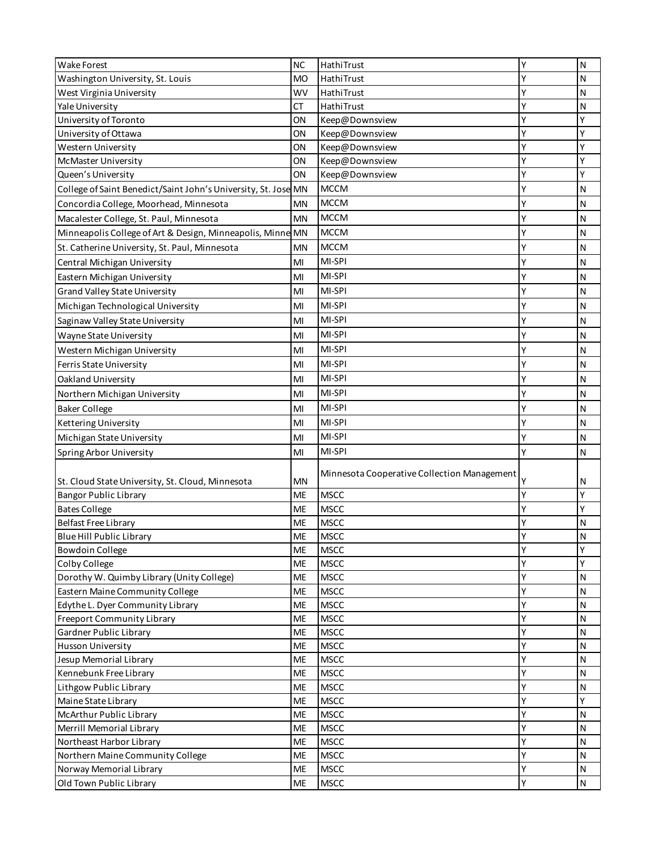| Wake Forest                                                    | <b>NC</b> | HathiTrust                                  | Y | N            |
|----------------------------------------------------------------|-----------|---------------------------------------------|---|--------------|
| Washington University, St. Louis                               | <b>MO</b> | HathiTrust                                  | Υ | $\mathsf{N}$ |
| West Virginia University                                       | <b>WV</b> | HathiTrust                                  | γ | N            |
| Yale University                                                | СT        | HathiTrust                                  | Υ | N            |
| University of Toronto                                          | ON        | Keep@Downsview                              | Υ | Υ            |
| University of Ottawa                                           | ON        | Keep@Downsview                              | Υ | Υ            |
| Western University                                             | ΟN        | Keep@Downsview                              | Υ | Υ            |
| McMaster University                                            | ON        | Keep@Downsview                              | Υ | Υ            |
| Queen's University                                             | ΟN        | Keep@Downsview                              | Y | Y            |
| College of Saint Benedict/Saint John's University, St. Jose MN |           | <b>MCCM</b>                                 | Y | N            |
| Concordia College, Moorhead, Minnesota                         | ΜN        | <b>MCCM</b>                                 | Y | N            |
| Macalester College, St. Paul, Minnesota                        | <b>MN</b> | <b>MCCM</b>                                 | Y | N            |
| Minneapolis College of Art & Design, Minneapolis, Minne MN     |           | <b>MCCM</b>                                 | Y | $\mathsf{N}$ |
| St. Catherine University, St. Paul, Minnesota                  | <b>MN</b> | <b>MCCM</b>                                 | Y | N            |
| Central Michigan University                                    | MI        | MI-SPI                                      | Υ | $\mathsf{N}$ |
| Eastern Michigan University                                    | MI        | MI-SPI                                      | Y | $\mathsf{N}$ |
| Grand Valley State University                                  | MI        | MI-SPI                                      | Y | $\mathsf{N}$ |
| Michigan Technological University                              | MI        | MI-SPI                                      | Υ | N            |
|                                                                | MI        | MI-SPI                                      | Υ | N            |
| Saginaw Valley State University                                |           | MI-SPI                                      |   |              |
| Wayne State University                                         | MI        |                                             |   | N            |
| Western Michigan University                                    | MI        | MI-SPI                                      | Y | N            |
| Ferris State University                                        | MI        | MI-SPI                                      | Y | N            |
| Oakland University                                             | MI        | MI-SPI                                      | Y | N            |
| Northern Michigan University                                   | MI        | MI-SPI                                      | Y | $\mathsf{N}$ |
| <b>Baker College</b>                                           | MI        | MI-SPI                                      | Y | N            |
| Kettering University                                           | MI        | MI-SPI                                      | Υ | N            |
| Michigan State University                                      | MI        | MI-SPI                                      | Y | N            |
| Spring Arbor University                                        | MI        | MI-SPI                                      | Υ | $\mathsf{N}$ |
| St. Cloud State University, St. Cloud, Minnesota               | MN        | Minnesota Cooperative Collection Management |   | N            |
| <b>Bangor Public Library</b>                                   | ME        | <b>MSCC</b>                                 | Y | Υ            |
| <b>Bates College</b>                                           | <b>ME</b> | <b>MSCC</b>                                 | Y | Υ            |
| <b>Belfast Free Library</b>                                    | ME        | <b>MSCC</b>                                 | Y | $\mathsf{N}$ |
| Blue Hill Public Library                                       | ME        | <b>MSCC</b>                                 | ٧ | N            |
| <b>Bowdoin College</b>                                         | <b>ME</b> | <b>MSCC</b>                                 | Υ | Υ            |
| Colby College                                                  | ME        | <b>MSCC</b>                                 | Υ | Υ            |
| Dorothy W. Quimby Library (Unity College)                      | ME        | <b>MSCC</b>                                 | Υ | $\mathsf{N}$ |
| Eastern Maine Community College                                | ME        | <b>MSCC</b>                                 | Y | N            |
| Edythe L. Dyer Community Library                               | ME        | <b>MSCC</b>                                 | Υ | N            |
| <b>Freeport Community Library</b>                              | ME        | <b>MSCC</b>                                 | Υ | ${\sf N}$    |
| Gardner Public Library                                         | ME        | <b>MSCC</b>                                 | Y | $\mathsf{N}$ |
| <b>Husson University</b>                                       | ME        | <b>MSCC</b>                                 | Υ | $\mathsf{N}$ |
| Jesup Memorial Library                                         | ME        | <b>MSCC</b>                                 | Y | N            |
| Kennebunk Free Library                                         | ME        | <b>MSCC</b>                                 | Y | ${\sf N}$    |
| Lithgow Public Library                                         | ME        | <b>MSCC</b>                                 | Y | $\mathsf{N}$ |
| Maine State Library                                            | ME        | <b>MSCC</b>                                 | Y | Υ            |
| McArthur Public Library                                        | <b>ME</b> | <b>MSCC</b>                                 | Y | N            |
| Merrill Memorial Library                                       | ME        | <b>MSCC</b>                                 | Υ | ${\sf N}$    |
| Northeast Harbor Library                                       | ME        | <b>MSCC</b>                                 | Y | $\mathsf{N}$ |
| Northern Maine Community College                               | <b>ME</b> | <b>MSCC</b>                                 | Y | $\mathsf{N}$ |
| Norway Memorial Library                                        | <b>ME</b> | <b>MSCC</b>                                 | Y | $\mathsf{N}$ |
| Old Town Public Library                                        | <b>ME</b> | <b>MSCC</b>                                 | Υ | $\mathsf{N}$ |
|                                                                |           |                                             |   |              |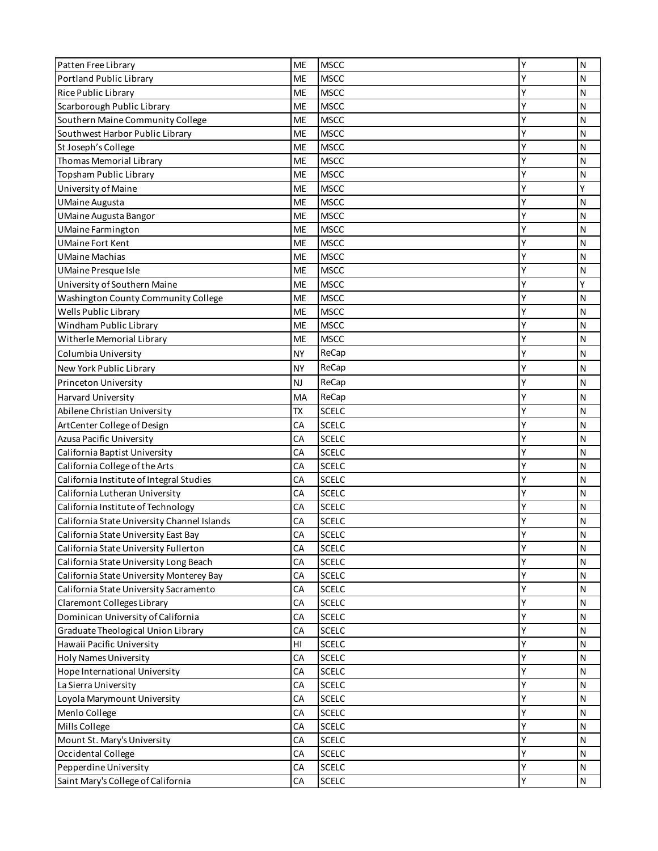| Patten Free Library                         | ME        | <b>MSCC</b>  | Υ | N            |
|---------------------------------------------|-----------|--------------|---|--------------|
| <b>Portland Public Library</b>              | ME        | <b>MSCC</b>  | Y | N            |
| Rice Public Library                         | ME        | <b>MSCC</b>  | Y | N            |
| Scarborough Public Library                  | <b>ME</b> | <b>MSCC</b>  | Υ | N            |
| Southern Maine Community College            | <b>ME</b> | <b>MSCC</b>  | Υ | N            |
| Southwest Harbor Public Library             | <b>ME</b> | <b>MSCC</b>  | Υ | N            |
| St Joseph's College                         | ME        | <b>MSCC</b>  | Υ | $\mathsf{N}$ |
| Thomas Memorial Library                     | ME        | <b>MSCC</b>  | Y | N            |
| Topsham Public Library                      | ME        | <b>MSCC</b>  | Υ | N            |
| University of Maine                         | <b>ME</b> | <b>MSCC</b>  | Y | Y            |
| <b>UMaine Augusta</b>                       | <b>ME</b> | <b>MSCC</b>  | Υ | $\mathsf{N}$ |
| UMaine Augusta Bangor                       | ME        | <b>MSCC</b>  | Y | N            |
| <b>UMaine Farmington</b>                    | <b>ME</b> | <b>MSCC</b>  | Y | N            |
| <b>UMaine Fort Kent</b>                     | ME        | <b>MSCC</b>  | Y | N            |
| UMaine Machias                              | <b>ME</b> | <b>MSCC</b>  | Υ | N            |
| UMaine Presque Isle                         | ME        | <b>MSCC</b>  | Υ | N            |
| University of Southern Maine                | ME        | <b>MSCC</b>  | Υ | Υ            |
| <b>Washington County Community College</b>  | <b>ME</b> | <b>MSCC</b>  | Y | $\mathsf{N}$ |
| Wells Public Library                        | ME        | <b>MSCC</b>  | Y | N            |
| Windham Public Library                      | ME        | <b>MSCC</b>  | Υ | N            |
| Witherle Memorial Library                   | ME        | <b>MSCC</b>  | Y | N            |
| Columbia University                         | NΥ        | ReCap        | Υ | N            |
| New York Public Library                     | <b>NY</b> | ReCap        | Y | N            |
| Princeton University                        | NJ        | ReCap        | Y | $\mathsf{N}$ |
| Harvard University                          | MA        | ReCap        | Y | N            |
| Abilene Christian University                | TX        | <b>SCELC</b> | Y | $\mathsf{N}$ |
| ArtCenter College of Design                 | CA        | <b>SCELC</b> | Υ | $\mathsf{N}$ |
| Azusa Pacific University                    | CA        | <b>SCELC</b> | Y | N            |
| California Baptist University               | CA        | <b>SCELC</b> | Y | N            |
| California College of the Arts              | CA        | <b>SCELC</b> | Y | N            |
| California Institute of Integral Studies    | CA        | <b>SCELC</b> | Υ | N            |
| California Lutheran University              | CA        | <b>SCELC</b> | Y | N            |
| California Institute of Technology          | CA        | <b>SCELC</b> | Y | N            |
| California State University Channel Islands | CA        | <b>SCELC</b> | Y | $\mathsf{N}$ |
| California State University East Bay        | CA        | <b>SCELC</b> | γ | N            |
| California State University Fullerton       | CA        | <b>SCELC</b> | Υ | $\mathsf{N}$ |
| California State University Long Beach      | CA        | <b>SCELC</b> | Υ | N            |
| California State University Monterey Bay    | CA        | <b>SCELC</b> | Y | $\mathsf{N}$ |
| California State University Sacramento      | CA        | <b>SCELC</b> | Υ | N            |
| Claremont Colleges Library                  | CA        | <b>SCELC</b> | Υ | N            |
| Dominican University of California          | CA        | <b>SCELC</b> | Y | $\mathsf{N}$ |
| Graduate Theological Union Library          | CA        | SCELC        | Y | N            |
| Hawaii Pacific University                   | HI        | SCELC        | Υ | $\mathsf{N}$ |
| <b>Holy Names University</b>                | CA        | SCELC        | Y | N            |
| Hope International University               | CA        | SCELC        | Υ | $\mathsf{N}$ |
| La Sierra University                        | CA        | <b>SCELC</b> | Υ | $\mathsf{N}$ |
| Loyola Marymount University                 | CA        | <b>SCELC</b> | Υ | $\mathsf{N}$ |
| Menlo College                               | CA        | <b>SCELC</b> | Y | N            |
| Mills College                               | CA        | <b>SCELC</b> | Y | $\mathsf{N}$ |
| Mount St. Mary's University                 | CA        | <b>SCELC</b> | Y | $\mathsf{N}$ |
| Occidental College                          | CA        | SCELC        | Y | $\mathsf{N}$ |
| Pepperdine University                       | CA        | SCELC        | Υ | ${\sf N}$    |
| Saint Mary's College of California          | CA        | SCELC        | Υ | $\mathsf{N}$ |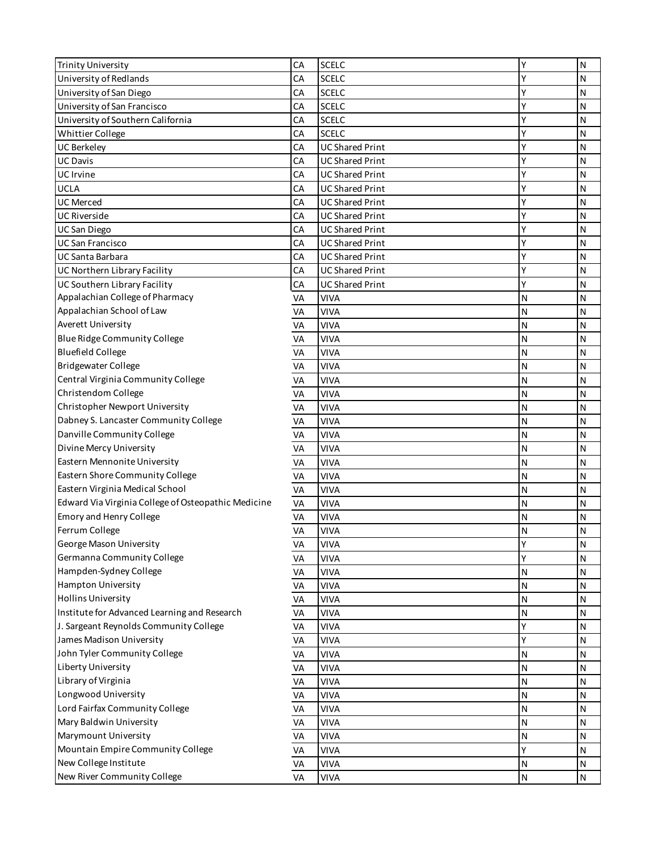| <b>Trinity University</b>                           | CA | <b>SCELC</b>           | Υ | N            |
|-----------------------------------------------------|----|------------------------|---|--------------|
| University of Redlands                              | CA | <b>SCELC</b>           | Y | Ν            |
| University of San Diego                             | CA | <b>SCELC</b>           | Y | N            |
| University of San Francisco                         | СA | <b>SCELC</b>           | Y | N            |
| University of Southern California                   | CA | <b>SCELC</b>           | Υ | N            |
| Whittier College                                    | CA | <b>SCELC</b>           | Y | N            |
| <b>UC Berkeley</b>                                  | CA | <b>UC Shared Print</b> | Y | $\mathsf{N}$ |
| <b>UC Davis</b>                                     | CA | <b>UC Shared Print</b> | Y | N            |
| UC Irvine                                           | CA | <b>UC Shared Print</b> | Y | $\mathsf{N}$ |
| <b>UCLA</b>                                         | CA | <b>UC Shared Print</b> | Y | Ν            |
| <b>UC Merced</b>                                    | CA | <b>UC Shared Print</b> | Y | $\mathsf{N}$ |
| <b>UC Riverside</b>                                 | CA | <b>UC Shared Print</b> | Y | N            |
| <b>UC San Diego</b>                                 | CA | <b>UC Shared Print</b> | Y | N            |
| <b>UC San Francisco</b>                             | CA | <b>UC Shared Print</b> | Y | Ν            |
| <b>UC Santa Barbara</b>                             | CA | <b>UC Shared Print</b> | Y | $\mathsf{N}$ |
| UC Northern Library Facility                        | CA | <b>UC Shared Print</b> | Y | N            |
| UC Southern Library Facility                        | CA | <b>UC Shared Print</b> | Y | N            |
| Appalachian College of Pharmacy                     | VA | <b>VIVA</b>            | N | Ν            |
| Appalachian School of Law                           | VA | <b>VIVA</b>            | Ν | N            |
| Averett University                                  | VA | <b>VIVA</b>            | N | N            |
| Blue Ridge Community College                        | VA | <b>VIVA</b>            | N | N            |
| <b>Bluefield College</b>                            | VA | <b>VIVA</b>            | N | N            |
| <b>Bridgewater College</b>                          | VA | <b>VIVA</b>            | Ν | $\mathsf{N}$ |
| Central Virginia Community College                  | VA | <b>VIVA</b>            | N | N            |
| Christendom College                                 | VA | <b>VIVA</b>            | N | $\mathsf{N}$ |
| Christopher Newport University                      | VA | <b>VIVA</b>            | N | Ν            |
| Dabney S. Lancaster Community College               | VA | <b>VIVA</b>            | Ν | $\mathsf{N}$ |
| Danville Community College                          | VA | <b>VIVA</b>            | N | N            |
| Divine Mercy University                             | VA | <b>VIVA</b>            | N | N            |
| Eastern Mennonite University                        | VA | <b>VIVA</b>            | N | Ν            |
| Eastern Shore Community College                     | VA | <b>VIVA</b>            | Ν | $\mathsf{N}$ |
| Eastern Virginia Medical School                     | VA | <b>VIVA</b>            | N | N            |
| Edward Via Virginia College of Osteopathic Medicine | VA | <b>VIVA</b>            | N | N            |
| <b>Emory and Henry College</b>                      | VA | <b>VIVA</b>            | N | N            |
| Ferrum College                                      | VA | <b>VIVA</b>            | N | $\mathsf{N}$ |
| George Mason University                             | VA | <b>VIVA</b>            | Υ | N            |
| Germanna Community College                          | VA | <b>VIVA</b>            | Υ | N            |
| Hampden-Sydney College                              | VA | <b>VIVA</b>            | N | N            |
| Hampton University                                  | VA | <b>VIVA</b>            | Ν | N            |
| <b>Hollins University</b>                           | VA | <b>VIVA</b>            | Ν | Ν            |
| Institute for Advanced Learning and Research        | VA | <b>VIVA</b>            | N | N            |
| J. Sargeant Reynolds Community College              | VA | <b>VIVA</b>            | Υ | N            |
| James Madison University                            | VA | <b>VIVA</b>            | Υ | ${\sf N}$    |
| John Tyler Community College                        | VA | <b>VIVA</b>            | N | $\mathsf{N}$ |
| Liberty University                                  | VA | <b>VIVA</b>            | Ν | $\mathsf{N}$ |
| Library of Virginia                                 | VA | <b>VIVA</b>            | Ν | Ν            |
| Longwood University                                 | VA | <b>VIVA</b>            | Ν | N            |
| Lord Fairfax Community College                      | VA | <b>VIVA</b>            | Ν | Ν            |
| Mary Baldwin University                             | VA | <b>VIVA</b>            | Ν | $\mathsf{N}$ |
| Marymount University                                | VA | <b>VIVA</b>            | Ν | N            |
| Mountain Empire Community College                   | VA | <b>VIVA</b>            | Υ | N            |
| New College Institute                               | VA | <b>VIVA</b>            | N | $\mathsf{N}$ |
| New River Community College                         | VA | <b>VIVA</b>            | N | ${\sf N}$    |
|                                                     |    |                        |   |              |